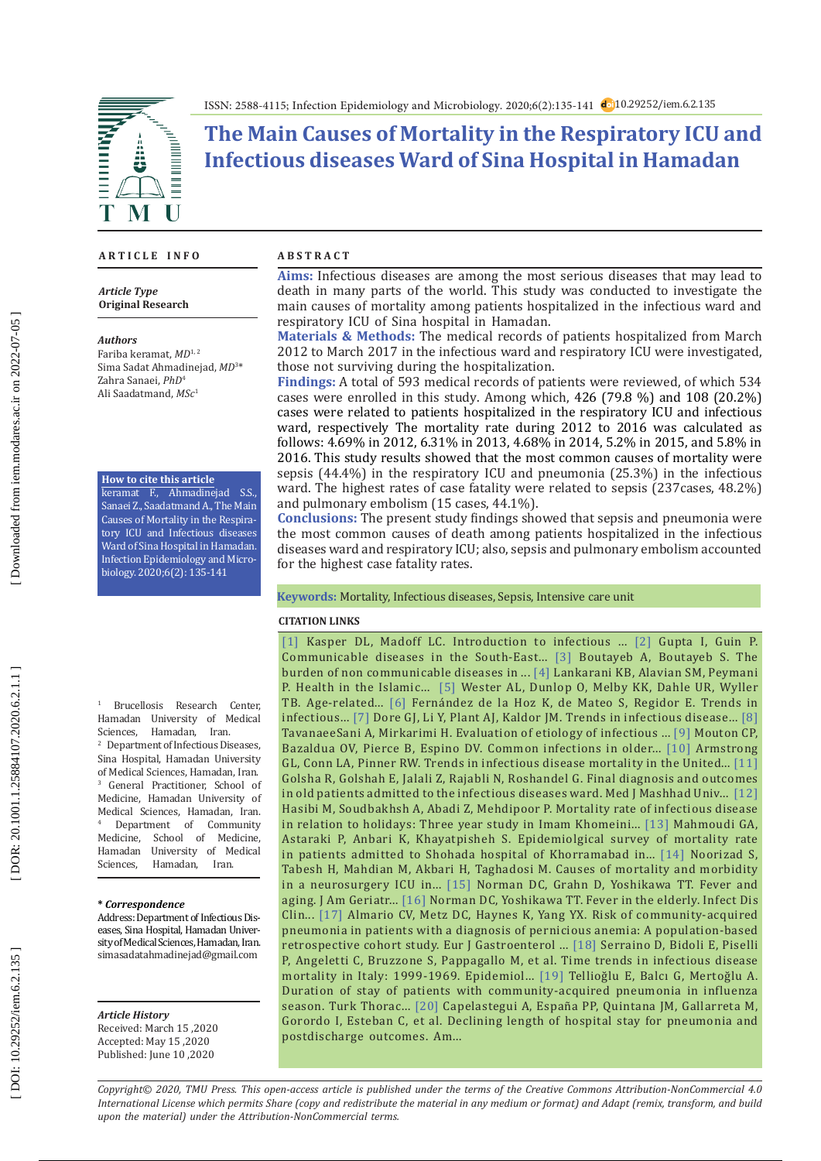



# **The Main Causes of Mortality in the Respiratory ICU and Infectious diseases Ward of Sina Hospital in Hamadan**

### **A R T I C L E I N F O A B S T R A C T**

*Article Type* **Original Research**

#### *Authors*

Fariba keramat, *MD*1, 2 Sima Sadat Ahmadinejad, *MD* 3 \* Zahra Sanaei, *PhD* 4 Ali Saadatmand, *MSc* 1

#### **How to cite this article**

keramat F., Ahmadinejad S.S., Sanaei Z., Saadatmand A., The Main Causes of Mortality in the Respira tory ICU and Infectious diseases Ward of Sina Hospital in Hamadan. Infection Epidemiology and Micro biology. 2020;6(2): 135-141

1 Brucellosis Research Center, Hamadan University of Medical Sciences, Hamadan, Iran. 2 Department of Infectious Diseases, Sina Hospital, Hamadan University of Medical Sciences, Hamadan, Iran. 3 General Practitioner, School of Medicine, Hamadan University of Medical Sciences, Hamadan, Iran. 4 <sup>4</sup> Department of Community<br>Medicine. School of Medicine. School of Medicine, Hamadan University of Medical<br>Sciences. Hamadan. Iran. Hamadan, Iran.

## **\*** *Correspondence*

Address: Department of Infectious Dis eases, Sina Hospital, Hamadan Univer sity of Medical Sciences, Hamadan, Iran. simasadatahmadinejad@gmail.com

*Article History* Received: March 15 ,2020

Accepted: May 15 ,2020 Published: June 10 ,2020

**Aims:** Infectious diseases are among the most serious diseases that may lead to death in many parts of the world . This study was conducted to investigate the main causes of mortality among patients hospitalized in the infectious ward and respiratory ICU of Sina hospital in Hamadan.

**Materials & Methods:** The medical records of patients hospitalized from March 2012 to March 2017 in the infectious ward and respiratory ICU were investigated, those not surviving during the hospitalization.

**Findings:** A total of 593 medical records of patients were reviewed, of which 534 cases were enrolled in this study. Among which, 426 (79.8 %) and 108 (20.2%) cases were related to patients hospitalized in the respiratory ICU and infectious ward, respectively The mortality rate during 2012 to 2016 was calculated as follows: 4.69% in 2012, 6.31% in 2013, 4.68% in 2014, 5.2% in 2015, and 5.8% in 2016. This study results showed that the most common causes of mortality were sepsis (44.4%) in the respiratory ICU and pneumonia (25.3%) in the infectious ward. The highest rates of case fatality were related to sepsis (237cases, 48.2%) and pulmonary embolism (15 cases, 44.1%).

**Conclusions:** The present study findings showed that sepsis and pneumonia were the most common causes of death among patients hospitalized in the infectious diseases ward and respiratory ICU; also, sepsis and pulmonary embolism accounted for the highest case fatality rates.

#### **Keywords:** Mortality, Infectious diseases, Sepsis, Intensive care unit

#### **CITATION LINKS**

[ [1](http://www.worldcat.org/oclc/890181375&tab=holdings&loc=94043&start_holding=2281) ] Kasper DL, Madoff LC. Introduction to infectious ... [ [2](https://www.scielosp.org/article/bwho/2010.v88n3/199-205/) ] Gupta I, Guin P. Communicable diseases in the South-East... [ [3](https://link.springer.com/article/10.1186/1475-9276-4-2) ] Boutayeb A, Boutayeb S. The burden of non communicable diseases in ... [ [4](https://www.ncbi.nlm.nih.gov/pmc/articles/PMC3592943/) ] Lankarani KB, Alavian SM, Peymani P. Health in the Islamic... [ [5](https://link.springer.com/article/10.1186/1471-2334-13-346) ] Wester AL, Dunlop O, Melby KK, Dahle UR, Wyller TB. Age-related... [ [6](https://www.ncbi.nlm.nih.gov/pubmed/10490663) ] Fernández de la Hoz K, de Mateo S, Regidor E. Trends in  $\text{interactions}$  ... [[7](https://onlinelibrary.wiley.com/doi/abs/10.5694/j.1326-5377.1998.tb141445.x)] Dore GJ, Li Y, Plant AJ, Kaldor JM. Trends in infectious disease... [8] TavanaeeSani A, Mirkarimi H. Evaluation of etiology of infectious ... [ [9](https://www.aafp.org/afp/2001/0115/p257.html) ] Mouton CP, Bazaldua OV, Pierce B, Espino DV. Common infections in older... [\[10](https://jamanetwork.com/journals/jama/article-abstract/768249) ] Armstrong GL, Conn LA, Pinner RW. Trends in infectious disease mortality in the United... [\[11\]](http://eprints.mums.ac.ir/7153/)  Golsha R, Golshah E, Jalali Z, Rajabli N, Roshandel G. Final diagnosis and outcomes in old patients admitted to the infectious diseases ward. Med J Mashhad Univ... [\[12\]](http://tumj.tums.ac.ir/article-1-718-en.html)  Hasibi M, Soudbakhsh A, Abadi Z, Mehdipoor P. Mortality rate of infectious disease in relation to holidays: Three year study in Imam Khomeini... [\[13](http://www.sjfm.ir/browse.php?a_id=567&slc_lang=en&sid=1&printcase=1&hbnr=1&hmb=1) ] Mahmoudi GA, Astaraki P, Anbari K, Khayatpisheh S. Epidemiolgical survey of mortality rate in patients admitted to Shohada hospital of Khorramabad in... [\[14](http://feyz.kaums.ac.ir/browse.php?a_code=A-10-1-141&slc_lang=en&sid=1&sw=Mortality) ] Noorizad S, Tabesh H, Mahdian M, Akbari H, Taghadosi M. Causes of mortality and morbidity in a neurosurgery ICU in... [\[15](https://www.ncbi.nlm.nih.gov/pubmed/3905926) ] Norman DC, Grahn D, Yoshikawa TT. Fever and aging. J Am Geriatr... [\[16](https://pubmed.ncbi.nlm.nih.gov/8698997/) ] Norman DC, Yoshikawa TT. Fever in the elderly. Infect Dis Clin... [\[17](https://www.ncbi.nlm.nih.gov/pmc/articles/PMC4586398/) ] Almario CV, Metz DC, Haynes K, Yang YX. Risk of community-acquired pneumonia in patients with a diagnosis of pernicious anemia: A population-based retrospective cohort study. Eur J Gastroenterol ... [\[18](https://europepmc.org/article/med/15792154) ] Serraino D, Bidoli E, Piselli P, Angeletti C, Bruzzone S, Pappagallo M, et al. Time trends in infectious disease mortality in Italy: 1999 -1969. Epidemiol... [\[19](https://www.ncbi.nlm.nih.gov/pmc/articles/PMC6196901/) ] Tellioğlu E, Balcı G, Mertoğlu A. Duration of stay of patients with community-acquired pneumonia in influenza season. Turk Thorac... [\[20](https://www.ncbi.nlm.nih.gov/pubmed/18823851) ] Capelastegui A, España PP, Quintana JM, Gallarreta M, Gorordo I, Esteban C, et al. Declining length of hospital stay for pneumonia and postdischarge outcomes. Am...

*Copyright© 2020, TMU Press. This open-access article is published under the terms of the Creative Commons Attribution-NonCommercial 4.0 International License which permits Share (copy and redistribute the material in any medium or format) and Adapt (remix, transform, and build upon the material) under the Attribution-NonCommercial terms.*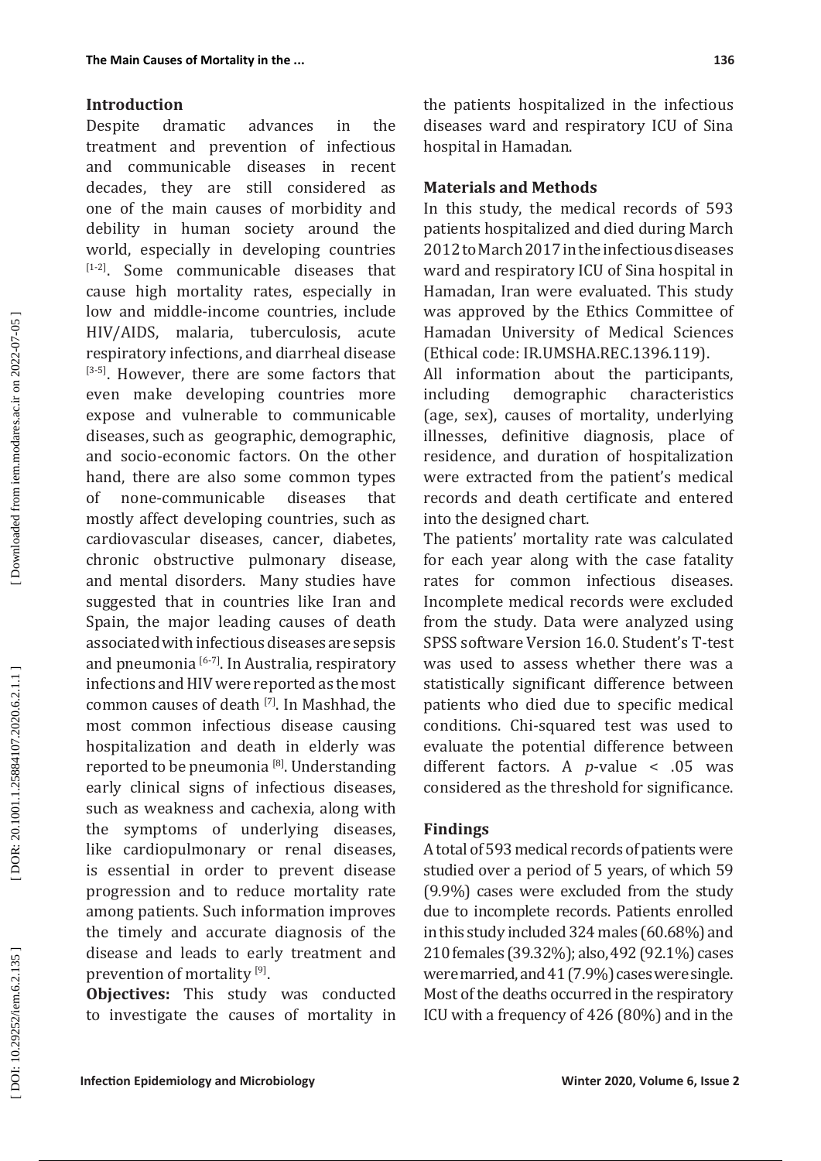## **Introduction**

Despite dramatic advances in the treatment and prevention of infectious and communicable diseases in recent decades, they are still considered as one of the main causes of morbidity and debility in human society around the world, especially in developing countries [1-2]. Some communicable diseases that cause high mortality rates, especially in low and middle-income countries, include HIV/AIDS, malaria, tuberculosis, acute respiratory infections, and diarrheal disease [3-5]. However, there are some factors that even make developing countries more expose and vulnerable to communicable diseases, such as geographic, demographic, and socio-economic factors. On the other hand, there are also some common types of none-communicable diseases that mostly affect developing countries, such as cardiovascular diseases, cancer, diabetes, chronic obstructive pulmonary disease, and mental disorders. Many studies have suggested that in countries like Iran and Spain, the major leading causes of death associated with infectious diseases are sepsis and pneumonia<sup>[6-7]</sup>. In Australia, respiratory infections and HIV were reported as the most common causes of death [7]. In Mashhad, the most common infectious disease causing hospitalization and death in elderly was reported to be pneumonia [8]. Understanding early clinical signs of infectious diseases, such as weakness and cachexia, along with the symptoms of underlying diseases, like cardiopulmonary or renal diseases, is essential in order to prevent disease progression and to reduce mortality rate among patients. Such information improves the timely and accurate diagnosis of the disease and leads to early treatment and prevention of mortality [9].

**Objectives:** This study was conducted to investigate the causes of mortality in the patients hospitalized in the infectious diseases ward and respiratory ICU of Sina hospital in Hamadan.

## **Materials and Methods**

In this study, the medical records of 593 patients hospitalized and died during March 2012 to March 2017 in the infectious diseases ward and respiratory ICU of Sina hospital in Hamadan, Iran were evaluated. This study was approved by the Ethics Committee of Hamadan University of Medical Sciences (Ethical code: IR.UMSHA.REC.1396.119).

All information about the participants,<br>including demographic characteristics including demographic characteristics (age, sex), causes of mortality, underlying illnesses, definitive diagnosis, place of residence, and duration of hospitalization were extracted from the patient's medical records and death certificate and entered into the designed chart.

The patients' mortality rate was calculated for each year along with the case fatality rates for common infectious diseases. Incomplete medical records were excluded from the study. Data were analyzed using SPSS software Version 16.0. Student's T-test was used to assess whether there was a statistically significant difference between patients who died due to specific medical conditions. Chi-squared test was used to evaluate the potential difference between different factors. A *p*-value < .05 was considered as the threshold for significance.

## **Findings**

A total of 593 medical records of patients were studied over a period of 5 years, of which 59 (9.9%) cases were excluded from the study due to incomplete records. Patients enrolled in this study included 324 males (60.68%) and 210 females (39.32%); also, 492 (92.1%) cases were married, and 41 (7.9%) cases were single. Most of the deaths occurred in the respiratory ICU with a frequency of 426 (80%) and in the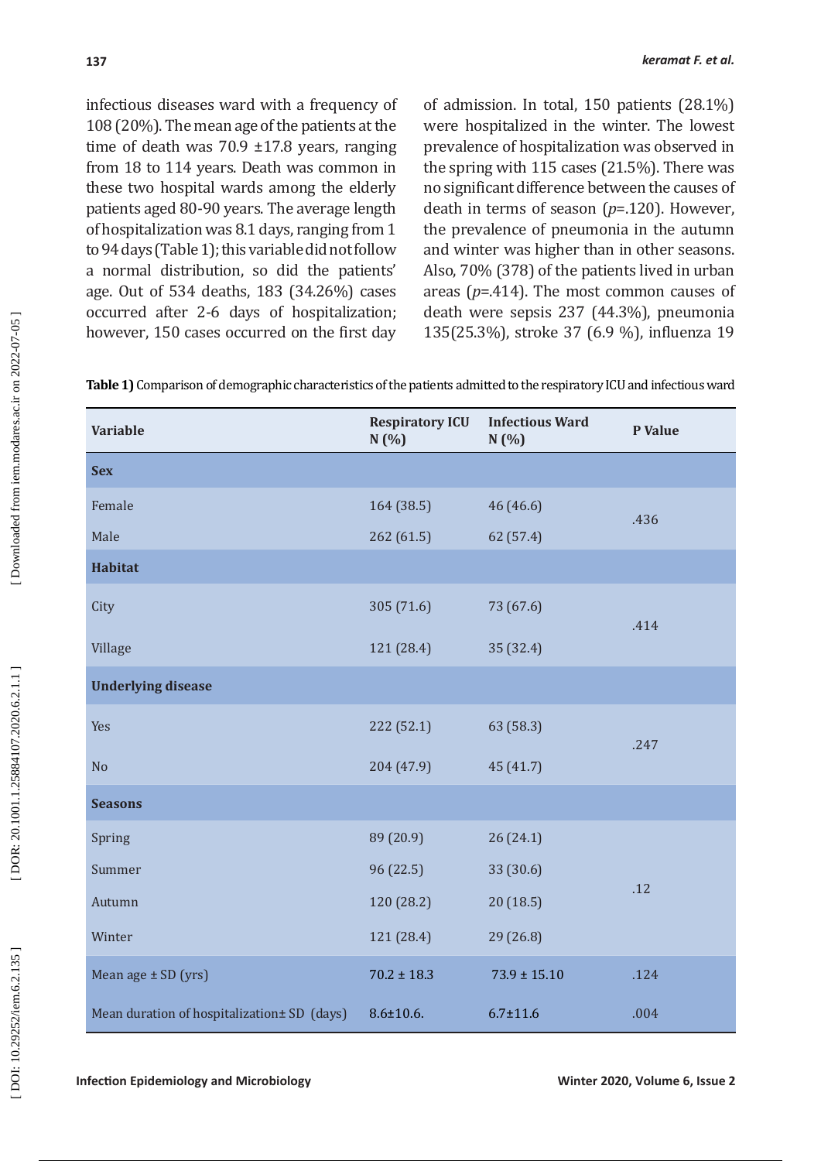infectious diseases ward with a frequency of 108 (20%). The mean age of the patients at the time of death was 70.9 ±17.8 years, ranging from 18 to 114 years. Death was common in these two hospital wards among the elderly patients aged 80-90 years. The average length of hospitalization was 8.1 days, ranging from 1 to 94 days (Table 1); this variable did not follow a normal distribution, so did the patients' age. Out of 534 deaths, 183 (34.26%) cases occurred after 2-6 days of hospitalization; however, 150 cases occurred on the first day

of admission. In total, 150 patients (28.1%) were hospitalized in the winter. The lowest prevalence of hospitalization was observed in the spring with 115 cases (21.5%). There was no significant difference between the causes of death in terms of season (*p*=.120). However, the prevalence of pneumonia in the autumn and winter was higher than in other seasons. Also, 70% (378) of the patients lived in urban areas (*p*=.414). The most common causes of death were sepsis 237 (44.3%), pneumonia 135(25.3%), stroke 37 (6.9 %), influenza 19

**Table 1)** Comparison of demographic characteristics of the patients admitted to the respiratory ICU and infectious ward

| <b>Variable</b>                             | <b>Respiratory ICU</b><br>N(%) | <b>Infectious Ward</b><br>N(%) | P Value |
|---------------------------------------------|--------------------------------|--------------------------------|---------|
| <b>Sex</b>                                  |                                |                                |         |
| Female                                      | 164 (38.5)                     | 46 (46.6)                      | .436    |
| Male                                        | 262(61.5)                      | 62 (57.4)                      |         |
| <b>Habitat</b>                              |                                |                                |         |
| City                                        | 305 (71.6)                     | 73 (67.6)                      | .414    |
| Village                                     | 121 (28.4)                     | 35 (32.4)                      |         |
| <b>Underlying disease</b>                   |                                |                                |         |
| Yes                                         | 222(52.1)                      | 63 (58.3)                      | .247    |
| N <sub>o</sub>                              | 204(47.9)                      | 45(41.7)                       |         |
| <b>Seasons</b>                              |                                |                                |         |
| Spring                                      | 89 (20.9)                      | 26(24.1)                       |         |
| Summer                                      | 96 (22.5)                      | 33 (30.6)                      | .12     |
| Autumn                                      | 120 (28.2)                     | 20(18.5)                       |         |
| Winter                                      | 121 (28.4)                     | 29(26.8)                       |         |
| Mean age $\pm$ SD (yrs)                     | $70.2 \pm 18.3$                | $73.9 \pm 15.10$               | .124    |
| Mean duration of hospitalization± SD (days) | $8.6 \pm 10.6$ .               | $6.7 \pm 11.6$                 | .004    |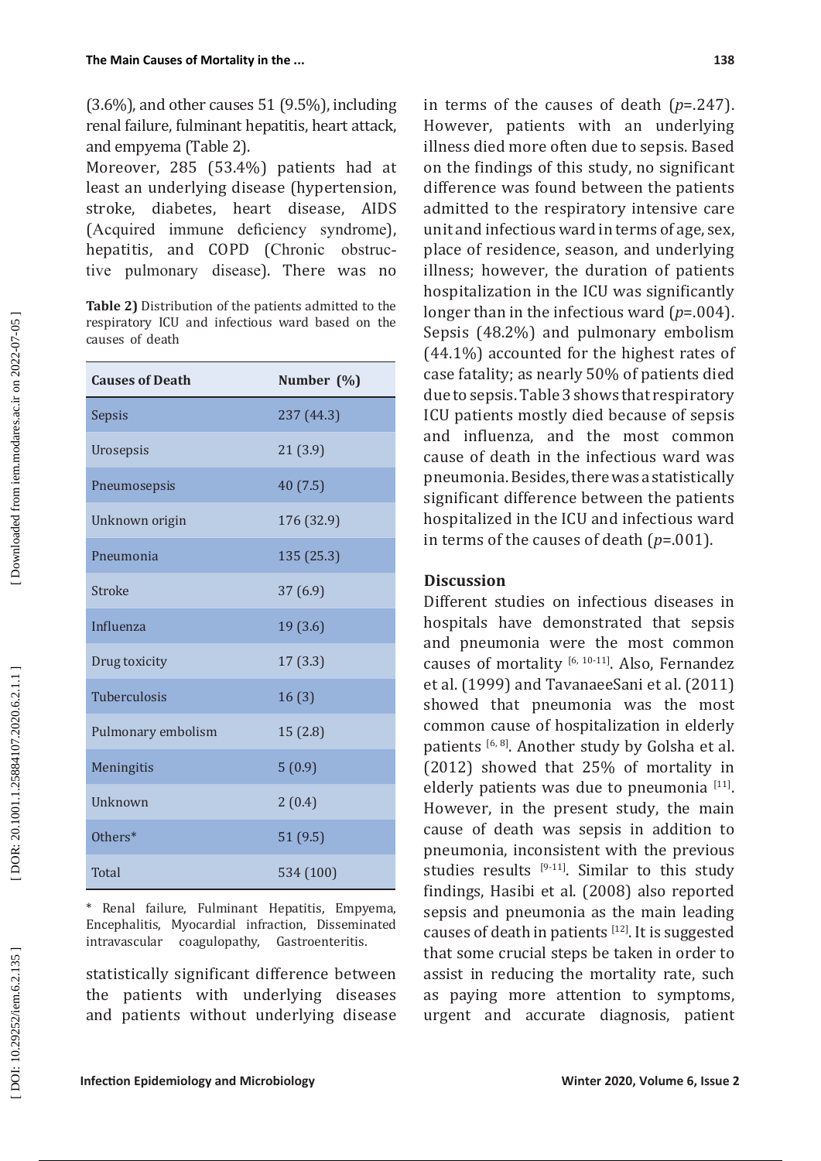(3.6%), and other causes 51 (9.5%), including renal failure, fulminant hepatitis, heart attack, and empyema (Table 2).

Moreover, 285 (53.4%) patients had at least an underlying disease (hypertension, stroke, diabetes, heart disease, AIDS (Acquired immune deficiency syndrome), hepatitis, and COPD (Chronic obstruc tive pulmonary disease). There was no

**Table 2)** Distribution of the patients admitted to the respiratory ICU and infectious ward based on the causes of death

| <b>Causes of Death</b> | Number (%) |
|------------------------|------------|
| Sepsis                 | 237 (44.3) |
| Urosepsis              | 21(3.9)    |
| Pneumosepsis           | 40 (7.5)   |
| Unknown origin         | 176 (32.9) |
| Pneumonia              | 135 (25.3) |
| Stroke                 | 37(6.9)    |
| Influenza              | 19 (3.6)   |
| Drug toxicity          | 17(3.3)    |
| <b>Tuberculosis</b>    | 16(3)      |
| Pulmonary embolism     | 15(2.8)    |
| Meningitis             | 5(0.9)     |
| <b>Unknown</b>         | 2(0.4)     |
| Others*                | 51(9.5)    |
| Total                  | 534 (100)  |

\* Renal failure, Fulminant Hepatitis, Empyema, Encephalitis, Myocardial infraction, Disseminated coagulopathy, Gastroenteritis.

statistically significant difference between the patients with underlying diseases and patients without underlying disease

in terms of the causes of death ( *p*=.247). However, patients with an underlying illness died more often due to sepsis. Based on the findings of this study, no significant difference was found between the patients admitted to the respiratory intensive care unit and infectious ward in terms of age, sex, place of residence, season, and underlying illness; however, the duration of patients hospitalization in the ICU was significantly longer than in the infectious ward ( *p*=.004). Sepsis (48.2%) and pulmonary embolism (44.1%) accounted for the highest rates of case fatality; as nearly 50% of patients died due to sepsis. Table 3 shows that respiratory ICU patients mostly died because of sepsis and influenza, and the most common cause of death in the infectious ward was pneumonia. Besides, there was a statistically significant difference between the patients hospitalized in the ICU and infectious ward in terms of the causes of death ( *p*=.001).

## **Discussion**

Different studies on infectious diseases in hospitals have demonstrated that sepsis and pneumonia were the most common causes of mortality [6, 10-11]. Also, Fernandez et al. (1999) and TavanaeeSani et al. (2011) showed that pneumonia was the most common cause of hospitalization in elderly patients [6, 8]. Another study by Golsha et al. (2012) showed that 25% of mortality in elderly patients was due to pneumonia  $[11]$ . However, in the present study, the main cause of death was sepsis in addition to pneumonia, inconsistent with the previous studies results  $[9-11]$ . Similar to this study findings, Hasibi et al. (2008) also reported sepsis and pneumonia as the main leading causes of death in patients  $[12]$ . It is suggested that some crucial steps be taken in order to assist in reducing the mortality rate, such as paying more attention to symptoms, urgent and accurate diagnosis, patient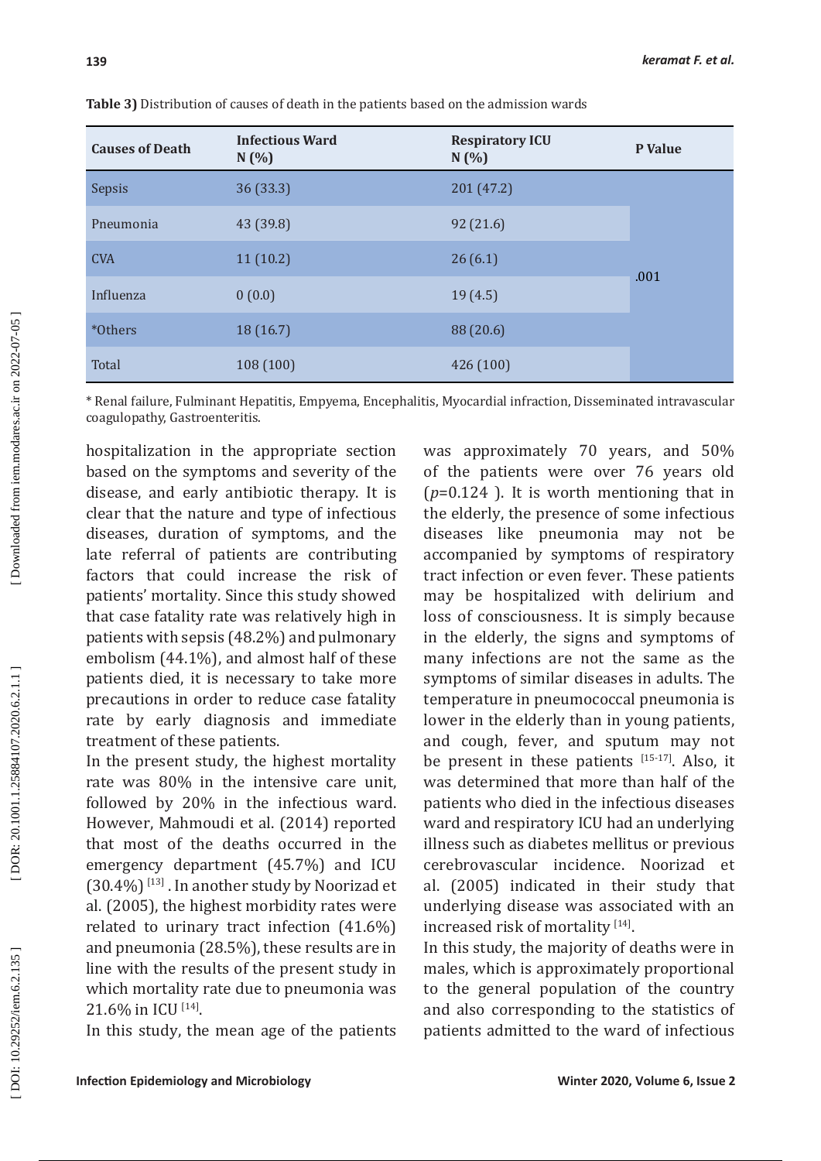| <b>Causes of Death</b> | <b>Infectious Ward</b><br>N(%) | <b>Respiratory ICU</b><br>N(%) | P Value |
|------------------------|--------------------------------|--------------------------------|---------|
| Sepsis                 | 36(33.3)                       | 201(47.2)                      |         |
| Pneumonia              | 43 (39.8)                      | 92(21.6)                       |         |
| <b>CVA</b>             | 11(10.2)                       | 26(6.1)                        | .001    |
| Influenza              | 0(0.0)                         | 19(4.5)                        |         |
| *Others                | 18(16.7)                       | 88 (20.6)                      |         |
| Total                  | 108(100)                       | 426 (100)                      |         |

**Table 3)** Distribution of causes of death in the patients based on the admission wards

\* Renal failure, Fulminant Hepatitis, Empyema, Encephalitis, Myocardial infraction, Disseminated intravascular coagulopathy, Gastroenteritis.

hospitalization in the appropriate section based on the symptoms and severity of the disease, and early antibiotic therapy. It is clear that the nature and type of infectious diseases, duration of symptoms, and the late referral of patients are contributing factors that could increase the risk of patients' mortality. Since this study showed that case fatality rate was relatively high in patients with sepsis (48.2%) and pulmonary embolism (44.1%), and almost half of these patients died, it is necessary to take more precautions in order to reduce case fatality rate by early diagnosis and immediate treatment of these patients.

In the present study, the highest mortality rate was 80% in the intensive care unit, followed by 20% in the infectious ward. However, Mahmoudi et al. (2014) reported that most of the deaths occurred in the emergency department (45.7%) and ICU  $(30.4\%)$ <sup>[13]</sup>. In another study by Noorizad et al. (2005), the highest morbidity rates were related to urinary tract infection (41.6%) and pneumonia (28.5%), these results are in line with the results of the present study in which mortality rate due to pneumonia was 21.6% in ICU [14].

In this study, the mean age of the patients

was approximately 70 years, and 50% of the patients were over 76 years old (*<sup>p</sup>*=0.124 ). It is worth mentioning that in the elderly, the presence of some infectious diseases like pneumonia may not be accompanied by symptoms of respiratory tract infection or even fever. These patients may be hospitalized with delirium and loss of consciousness. It is simply because in the elderly, the signs and symptoms of many infections are not the same as the symptoms of similar diseases in adults. The temperature in pneumococcal pneumonia is lower in the elderly than in young patients, and cough, fever, and sputum may not be present in these patients [15-17]. Also, it was determined that more than half of the patients who died in the infectious diseases ward and respiratory ICU had an underlying illness such as diabetes mellitus or previous cerebrovascular incidence. Noorizad et al. (2005) indicated in their study that underlying disease was associated with an increased risk of mortality  $[14]$ .

In this study, the majority of deaths were in males, which is approximately proportional to the general population of the country and also corresponding to the statistics of patients admitted to the ward of infectious

DOI: 10.29252/iem.6.2.135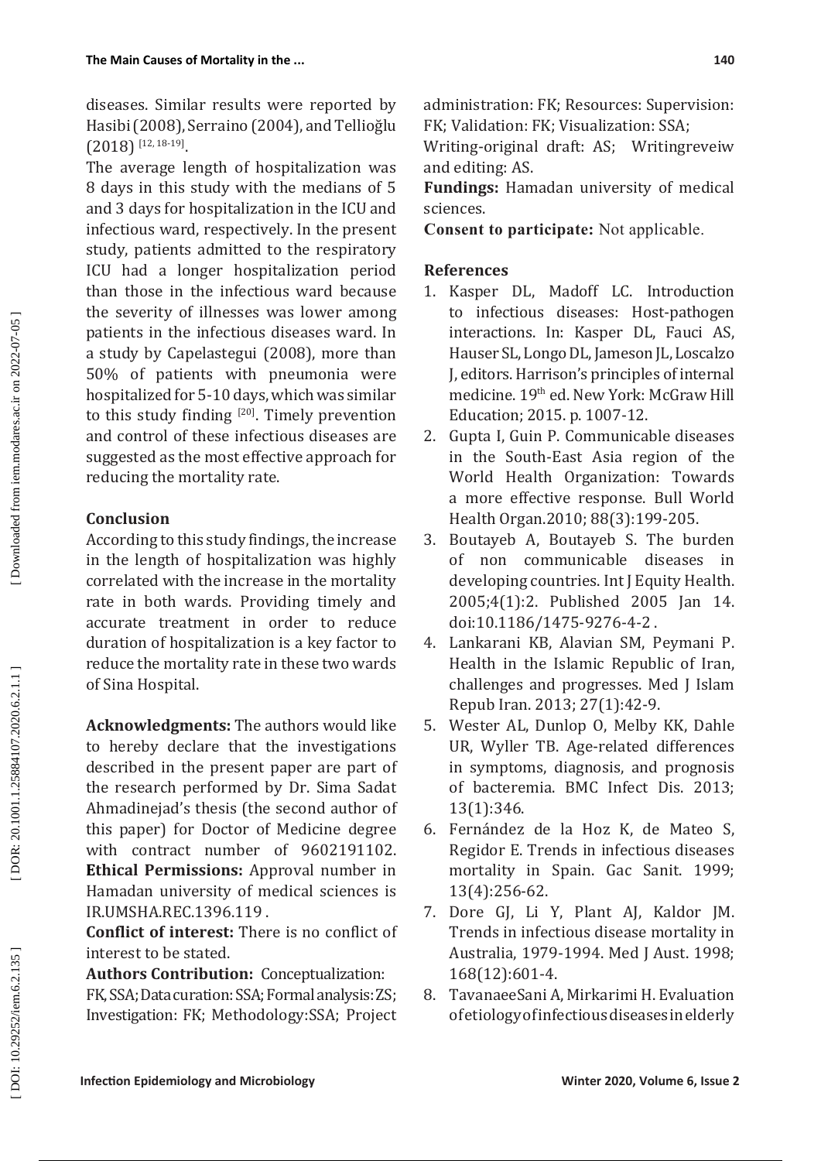diseases. Similar results were reported by Hasibi (2008), Serraino (2004), and Tellioğlu  $(2018)^{\frac{12}{12,18\cdot19}}$ .

The average length of hospitalization was 8 days in this study with the medians of 5 and 3 days for hospitalization in the ICU and infectious ward, respectively. In the present study, patients admitted to the respiratory ICU had a longer hospitalization period than those in the infectious ward because the severity of illnesses was lower among patients in the infectious diseases ward. In a study by Capelastegui (2008), more than 50% of patients with pneumonia were hospitalized for 5-10 days, which was similar to this study finding [20]. Timely prevention and control of these infectious diseases are suggested as the most effective approach for reducing the mortality rate.

## **Conclusion**

According to this study findings, the increase in the length of hospitalization was highly correlated with the increase in the mortality rate in both wards. Providing timely and accurate treatment in order to reduce duration of hospitalization is a key factor to reduce the mortality rate in these two wards of Sina Hospital.

**Acknowledgments:** The authors would like to hereby declare that the investigations described in the present paper are part of the research performed by Dr. Sima Sadat Ahmadinejad's thesis (the second author of this paper) for Doctor of Medicine degree with contract number of 9602191102. **Ethical Permissions:** Approval number in Hamadan university of medical sciences is IR.UMSHA.REC.1396.119 .

**Conflict of interest:** There is no conflict of interest to be stated.

**Authors Contribution:** Conceptualization: FK, SSA; Data curation: SSA; Formal analysis: ZS; Investigation: FK; Methodology:SSA; Project administration: FK; Resources: Supervision: FK; Validation: FK; Visualization: SSA;

Writing-original draft: AS; Writingreveiw and editing: AS.

**Fundings:** Hamadan university of medical sciences.

**Consent to participate:** Not applicable.

## **References**

- 1. Kasper DL, Madoff LC. Introduction to infectious diseases: Host-pathogen interactions. In: Kasper DL, Fauci AS, Hauser SL, Longo DL, Jameson JL, Loscalzo J, editors. Harrison's principles of internal medicine. 19th ed. New York: McGraw Hill Education; 2015. p. 1007-12.
- 2. Gupta I, Guin P. Communicable diseases in the South-East Asia region of the World Health Organization: Towards a more effective response. Bull World Health Organ.2010; 88(3):199-205.
- 3. Boutayeb A, Boutayeb S. The burden of non communicable diseases in developing countries. Int J Equity Health. 2005;4(1):2. Published 2005 Jan 14. doi:10.1186/1475-9276-4-2 .
- 4. Lankarani KB, Alavian SM, Peymani P. Health in the Islamic Republic of Iran, challenges and progresses. Med J Islam Repub Iran. 2013; 27(1):42-9.
- 5. Wester AL, Dunlop O, Melby KK, Dahle UR, Wyller TB. Age-related differences in symptoms, diagnosis, and prognosis of bacteremia. BMC Infect Dis. 2013; 13(1):346.
- 6. Fernández de la Hoz K, de Mateo S, Regidor E. Trends in infectious diseases mortality in Spain. Gac Sanit. 1999; 13(4):256-62.
- 7. Dore GJ, Li Y, Plant AJ, Kaldor JM. Trends in infectious disease mortality in Australia, 1979-1994. Med J Aust. 1998; 168(12):601-4.
- 8. TavanaeeSani A, Mirkarimi H. Evaluation of etiology of infectious diseases in elderly